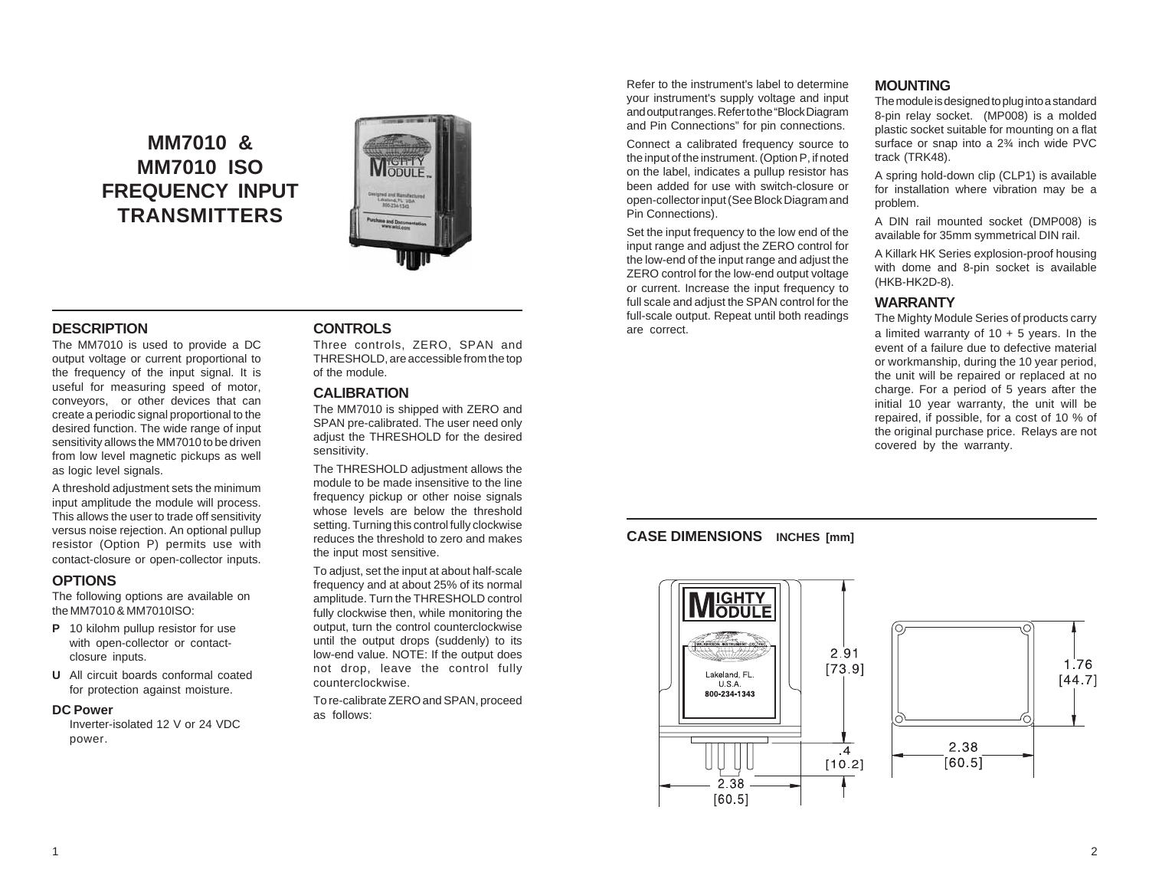# **MM7010 & MM7010 ISO FREQUENCY INPUT TRANSMITTERS**



#### **DESCRIPTION**

The MM7010 is used to provide a DC output voltage or current proportional to the frequency of the input signal. It is useful for measuring speed of motor, conveyors, or other devices that can create a periodic signal proportional to the desired function. The wide range of input sensitivity allows the MM7010 to be driven from low level magnetic pickups as well as logic level signals.

A threshold adjustment sets the minimum input amplitude the module will process. This allows the user to trade off sensitivity versus noise rejection. An optional pullup resistor (Option P) permits use with contact-closure or open-collector inputs.

#### **OPTIONS**

The following options are available on the MM7010 & MM7010ISO:

- **P** 10 kilohm pullup resistor for use with open-collector or contactclosure inputs.
- **U** All circuit boards conformal coated for protection against moisture.

#### **DC Power**

Inverter-isolated 12 V or 24 VDC power.

#### **CONTROLS**

Three controls, ZERO, SPAN and THRESHOLD, are accessible from the top of the module.

#### **CALIBRATION**

The MM7010 is shipped with ZERO and SPAN pre-calibrated. The user need only adjust the THRESHOLD for the desired sensitivity.

The THRESHOLD adjustment allows the module to be made insensitive to the line frequency pickup or other noise signals whose levels are below the threshold setting. Turning this control fully clockwise reduces the threshold to zero and makes the input most sensitive.

To adjust, set the input at about half-scale frequency and at about 25% of its normal amplitude. Turn the THRESHOLD control fully clockwise then, while monitoring the output, turn the control counterclockwise until the output drops (suddenly) to its low-end value. NOTE: If the output does not drop, leave the control fully counterclockwise.

To re-calibrate ZERO and SPAN, proceed as follows:

Refer to the instrument's label to determine your instrument's supply voltage and input and output ranges. Refer to the "Block Diagram and Pin Connections" for pin connections.

Connect a calibrated frequency source to the input of the instrument. (Option P, if noted on the label, indicates a pullup resistor has been added for use with switch-closure or open-collector input (See Block Diagram and Pin Connections).

Set the input frequency to the low end of the input range and adjust the ZERO control for the low-end of the input range and adjust the ZERO control for the low-end output voltage or current. Increase the input frequency to full scale and adjust the SPAN control for the full-scale output. Repeat until both readings are correct.

#### **MOUNTING**

The module is designed to plug into a standard 8-pin relay socket. (MP008) is a molded plastic socket suitable for mounting on a flat surface or snap into a 2¾ inch wide PVC track (TRK48).

A spring hold-down clip (CLP1) is available for installation where vibration may be a problem.

A DIN rail mounted socket (DMP008) is available for 35mm symmetrical DIN rail.

A Killark HK Series explosion-proof housing with dome and 8-pin socket is available (HKB-HK2D-8).

#### **WARRANTY**

The Mighty Module Series of products carry a limited warranty of  $10 + 5$  years. In the event of a failure due to defective material or workmanship, during the 10 year period, the unit will be repaired or replaced at no charge. For a period of 5 years after the initial 10 year warranty, the unit will be repaired, if possible, for a cost of 10 % of the original purchase price. Relays are not covered by the warranty.

#### **CASE DIMENSIONS INCHES [mm]**